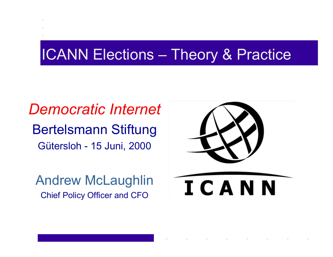### ICANN Elections – Theory & Practice

*Democratic Internet* Bertelsmann Stiftung Gütersloh - 15 Juni, 2000

Andrew McLaughlin Chief Policy Officer and CFO

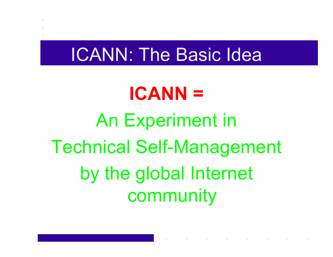### ICANN: The Basic Idea

# **ICANN =**An Experiment in Technical Self-Management by the global Internet community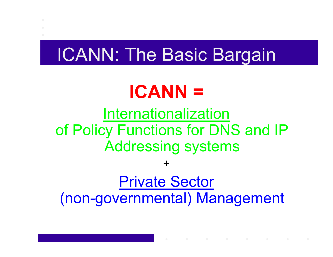### ICANN: The Basic Bargain

# **ICANN =**

### Internationalization of Policy Functions for DNS and IP Addressing systems

+

### Private Sector (non-governmental) Management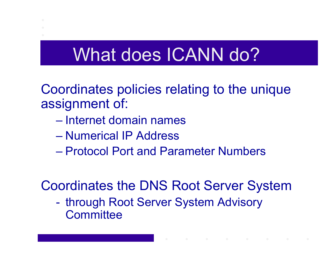### What does ICANN do?

Coordinates policies relating to the unique assignment of:

- Internet domain names
- Numerical IP Address
- Protocol Port and Parameter Numbers

Coordinates the DNS Root Server System

 through Root Server System Advisory **Committee**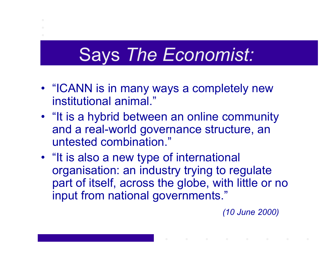### Says *The Economist:*

- "ICANN is in many ways a completely new institutional animal."
- "It is a hybrid between an online community and a real-world governance structure, an untested combination."
- "It is also a new type of international organisation: an industry trying to regulate part of itself, across the globe, with little or no input from national governments."

*(10 June 2000)*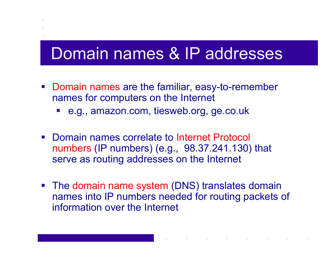### Domain names & IP addresses

- **Domain names are the familiar, easy-to-remember** names for computers on the Internet
	- e.g., amazon.com, tiesweb.org, ge.co.uk
- Domain names correlate to Internet Protocol numbers (IP numbers) (e.g., 98.37.241.130) that serve as routing addresses on the Internet
- The domain name system (DNS) translates domain names into IP numbers needed for routing packets of information over the Internet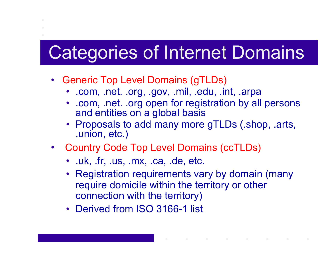### Categories of Internet Domains

- Generic Top Level Domains (gTLDs)
	- .com, .net. .org, .gov, .mil, .edu, .int, .arpa
	- .com, .net. .org open for registration by all persons and entities on a global basis
	- Proposals to add many more gTLDs (.shop, .arts, .union, etc.)
- Country Code Top Level Domains (ccTLDs)
	- .uk, .fr, .us, .mx, .ca, .de, etc.
	- Registration requirements vary by domain (many require domicile within the territory or other connection with the territory)
	- Derived from ISO 3166-1 list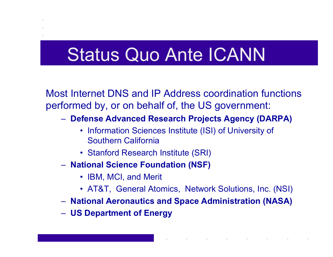### Status Quo Ante ICANN

Most Internet DNS and IP Address coordination functions performed by, or on behalf of, the US government:

- **Defense Advanced Research Projects Agency (DARPA)**
	- Information Sciences Institute (ISI) of University of Southern California
	- Stanford Research Institute (SRI)
- **National Science Foundation (NSF)**
	- IBM, MCI, and Merit
	- AT&T, General Atomics, Network Solutions, Inc. (NSI)
- **National Aeronautics and Space Administration (NASA)**
- **US Department of Energy**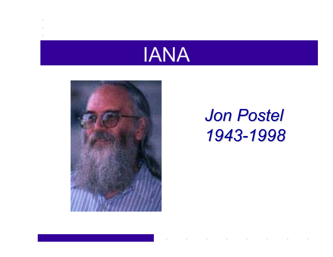



### *Jon Postel 1943-1998*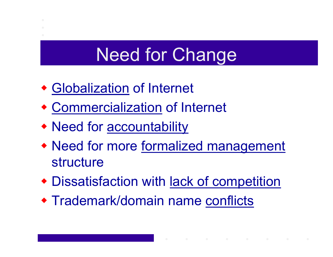## Need for Change

- Globalization of Internet
- Commercialization of Internet
- Need for accountability
- Need for more formalized management structure
- Dissatisfaction with lack of competition
- Trademark/domain name conflicts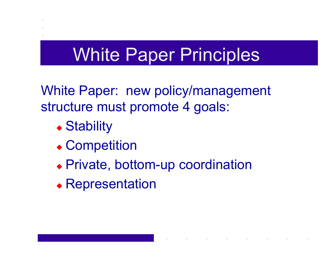### White Paper Principles

White Paper: new policy/management structure must promote 4 goals:

- ◆ Stability
- ◆ Competition
- Private, bottom-up coordination
- Representation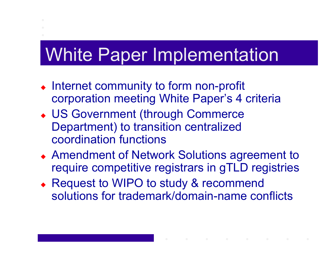### White Paper Implementation

- Internet community to form non-profit corporation meeting White Paper's 4 criteria
- US Government (through Commerce Department) to transition centralized coordination functions
- Amendment of Network Solutions agreement to require competitive registrars in gTLD registries
- Request to WIPO to study & recommend solutions for trademark/domain-name conflicts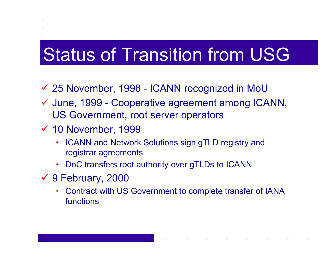# Status of Transition from USG

- 9 25 November, 1998 ICANN recognized in MoU
- ✔ June, 1999 Cooperative agreement among ICANN, US Government, root server operators
- $\checkmark$  10 November, 1999
	- ICANN and Network Solutions sign gTLD registry and registrar agreements
	- •DoC transfers root authority over gTLDs to ICANN
- 9 9 February, 2000
	- • Contract with US Government to complete transfer of IANA functions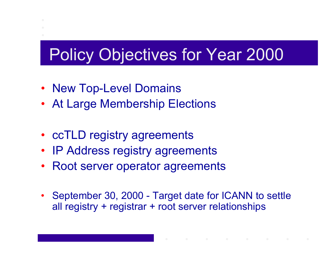### Policy Objectives for Year 2000

- New Top-Level Domains
- At Large Membership Elections
- ccTLD registry agreements
- IP Address registry agreements
- Root server operator agreements
- • September 30, 2000 - Target date for ICANN to settle all registry + registrar + root server relationships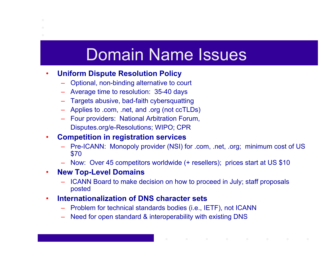### Domain Name Issues

#### •**Uniform Dispute Resolution Policy**

- –Optional, non-binding alternative to court
- Average time to resolution: 35-40 days
- Targets abusive, bad-faith cybersquatting
- Applies to .com, .net, and .org (not ccTLDs)
- Four providers: National Arbitration Forum, Disputes.org/e-Resolutions; WIPO; CPR

#### •**Competition in registration services**

- Pre-ICANN: Monopoly provider (NSI) for .com, .net, .org; minimum cost of US \$70
- –Now: Over 45 competitors worldwide (+ resellers); prices start at US \$10

#### $\bullet$ **New Top-Level Domains**

 ICANN Board to make decision on how to proceed in July; staff proposals posted

#### $\bullet$ **Internationalization of DNS character sets**

- Problem for technical standards bodies (i.e., IETF), not ICANN
- –Need for open standard & interoperability with existing DNS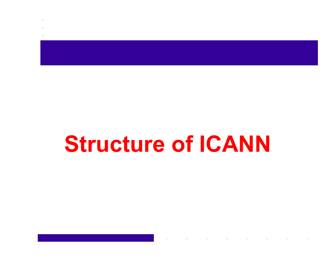# **Structure of ICANN**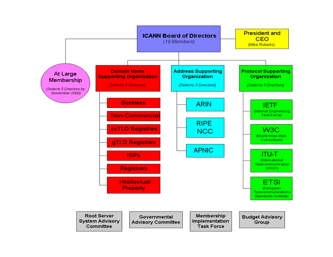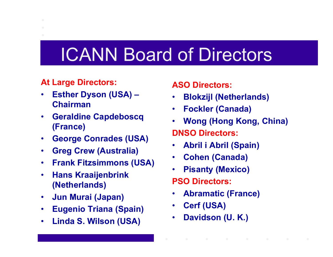### ICANN Board of Directors

### **At Large Directors:**

- • **Esther Dyson (USA) – Chairman**
- • **Geraldine Capdeboscq (France)**
- $\bullet$ **George Conrades (USA)**
- $\bullet$ **Greg Crew (Australia)**
- $\bullet$ **Frank Fitzsimmons (USA)**
- $\bullet$  **Hans Kraaijenbrink (Netherlands)**
- •**Jun Murai (Japan)**
- $\bullet$ **Eugenio Triana (Spain)**
- •**Linda S. Wilson (USA)**

### **ASO Directors:**

- •**Blokzijl (Netherlands)**
- •**Fockler (Canada)**
- • **Wong (Hong Kong, China) DNSO Directors:**
- •**Abril i Abril (Spain)**
- •**Cohen (Canada)**
- •**Pisanty (Mexico)**

**PSO Directors:**

- •**Abramatic (France)**
- •**Cerf (USA)**
- •**Davidson (U. K.)**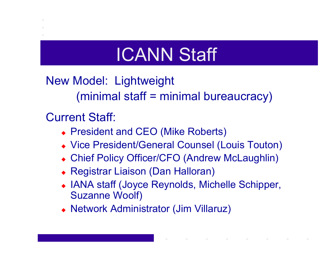# ICANN Staff

New Model: Lightweight (minimal staff = minimal bureaucracy)

Current Staff:

- ◆ President and CEO (Mike Roberts)
- Vice President/General Counsel (Louis Touton)
- Chief Policy Officer/CFO (Andrew McLaughlin)
- Registrar Liaison (Dan Halloran)
- IANA staff (Joyce Reynolds, Michelle Schipper, Suzanne Woolf)
- Network Administrator (Jim Villaruz)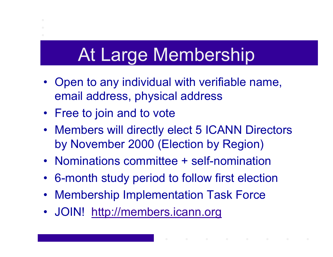### At Large Membership

- Open to any individual with verifiable name, email address, physical address
- Free to join and to vote
- Members will directly elect 5 ICANN Directors by November 2000 (Election by Region)
- Nominations committee + self-nomination
- 6-month study period to follow first election
- Membership Implementation Task Force
- JOIN! http://members.icann.org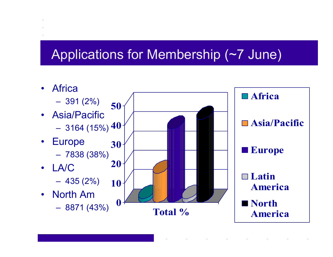### Applications for Membership (~7 June)

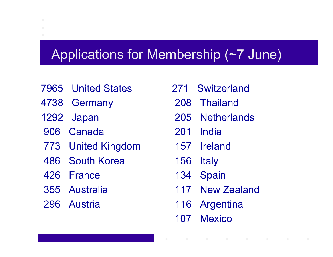### Applications for Membership (~7 June)

- 7965 United States
- 4738 Germany
- 1292 Japan
- 906 Canada
- 773 United Kingdom
- 486 South Korea
- 426 France
- 355 Australia
- 296 Austria
- 271 Switzerland
- 208 Thailand
- 205 Netherlands
- 201 India
- 157 Ireland
- 156 Italy
- 134 Spain
- 117 New Zealand
- 116 Argentina
- 107 Mexico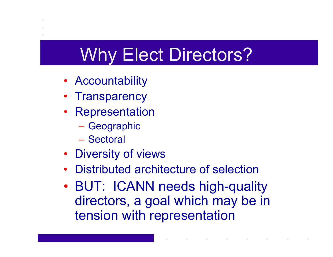# Why Elect Directors?

- Accountability
- Transparency
- Representation
	- Geographic
	- Sectoral
- Diversity of views
- •Distributed architecture of selection
- • BUT: ICANN needs high-quality directors, a goal which may be in tension with representation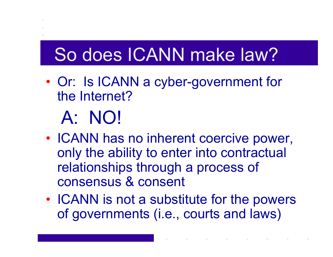## So does ICANN make law?

• Or: Is ICANN a cyber-government for the Internet?

# A: NO!

- $\bullet$ • ICANN has no inherent coercive power, only the ability to enter into contractual relationships through a process of consensus & consent
- •• ICANN is not a substitute for the powers of governments (i.e., courts and laws)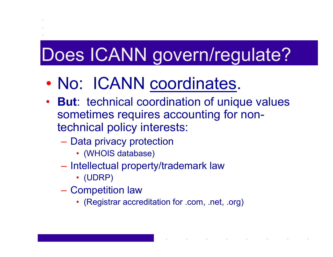# Does ICANN govern/regulate?

- $\bullet$ No: ICANN coordinates.
- **But**: technical coordination of unique values sometimes requires accounting for nontechnical policy interests:
	- Data privacy protection
		- (WHOIS database)
	- Intellectual property/trademark law
		- (UDRP)
	- $\mathcal{L}_{\mathcal{A}}$ – Competition law
		- (Registrar accreditation for .com, .net, .org)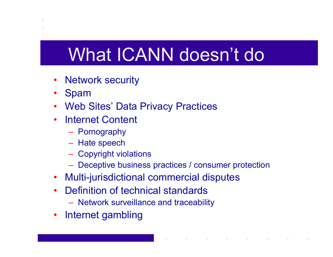# What ICANN doesn't do

- •Network security
- $\bullet$ Spam
- $\bullet$ Web Sites' Data Privacy Practices
- Internet Content
	- Pornography
	- Hate speech
	- Copyright violations
	- Deceptive business practices / consumer protection
- $\bullet$ Multi-jurisdictional commercial disputes
- $\bullet$  Definition of technical standards
	- Network surveillance and traceability
- $\bullet$ Internet gambling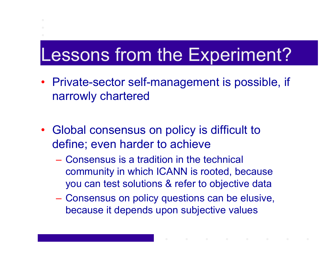# Lessons from the Experiment?

- Private-sector self-management is possible, if narrowly chartered
- Global consensus on policy is difficult to define; even harder to achieve
	- Consensus is a tradition in the technical community in which ICANN is rooted, because you can test solutions & refer to objective data
	- Consensus on policy questions can be elusive, because it depends upon subjective values